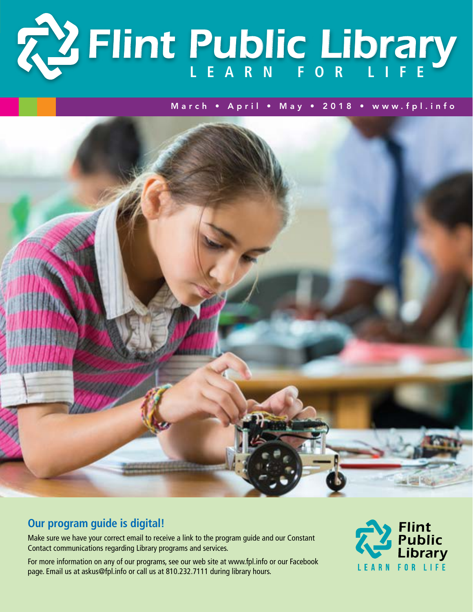

March • April • May • 2018 • www.fpl.info



# **Our program guide is digital!**

Make sure we have your correct email to receive a link to the program guide and our Constant Contact communications regarding Library programs and services.

For more information on any of our programs, see our web site at www.fpl.info or our Facebook page. Email us at askus@fpl.info or call us at 810.232.7111 during library hours.

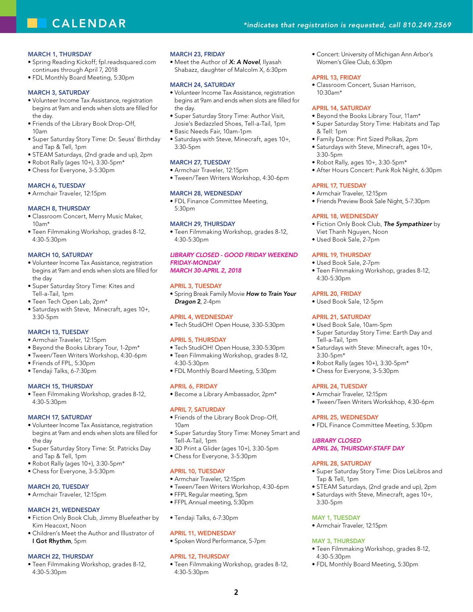# **CALENDAR**

### MARCH 1, THURSDAY

- Spring Reading Kickoff; fpl.readsquared.com continues through April 7, 2018
- FDL Monthly Board Meeting, 5:30pm

### MARCH 3, SATURDAY

- Volunteer Income Tax Assistance, registration begins at 9am and ends when slots are filled for the day.
- Friends of the Library Book Drop-Off, 10am
- Super Saturday Story Time: Dr. Seuss' Birthday and Tap & Tell, 1pm
- STEAM Saturdays, (2nd grade and up), 2pm
- Robot Rally (ages 10+), 3:30-5pm\*
- Chess for Everyone, 3-5:30pm

### **MARCH 6, TUESDAY**

• Armchair Traveler, 12:15pm

### MARCH 8, THURSDAY

- Classroom Concert, Merry Music Maker, 10am\*
- Teen Filmmaking Workshop, grades 8-12, 4:30-5:30pm

### MARCH 10, SATURDAY

- Volunteer Income Tax Assistance, registration begins at 9am and ends when slots are filled for the day
- Super Saturday Story Time: Kites and Tell-a-Tail, 1pm
- Teen Tech Open Lab, 2pm\*
- Saturdays with Steve, Minecraft, ages 10+, 3:30-5pm

### **MARCH 13, TUESDAY**

- Armchair Traveler, 12:15pm
- Beyond the Books Library Tour, 1-2pm\*
- Tween/Teen Writers Workshop, 4:30-6pm
- Friends of FPL, 5:30pm
- Tendaji Talks, 6-7:30pm

### MARCH 15, THURSDAY

• Teen Filmmaking Workshop, grades 8-12, 4:30-5:30pm

### MARCH 17, SATURDAY

- Volunteer Income Tax Assistance, registration begins at 9am and ends when slots are filled for the day
- Super Saturday Story Time: St. Patricks Day and Tap & Tell, 1pm
- Robot Rally (ages 10+), 3:30-5pm\*
- Chess for Everyone, 3-5:30pm

### **MARCH 20, TUESDAY**

• Armchair Traveler, 12:15pm

### March 21, Wednesday

- Fiction Only Book Club, Jimmy Bluefeather by Kim Heacoxt, Noon
- Children's Meet the Author and Illustrator of I Got Rhythm, 5pm

### MARCH 22, THURSDAY

• Teen Filmmaking Workshop, grades 8-12, 4:30-5:30pm

### March 23, Friday

• Meet the Author of *X: A Novel*, Ilyasah Shabazz, daughter of Malcolm X, 6:30pm

### March 24, Saturday

- Volunteer Income Tax Assistance, registration begins at 9am and ends when slots are filled for the day.
- Super Saturday Story Time: Author Visit, Josie's Bedazzled Shoes, Tell-a-Tail, 1pm
- Basic Needs Fair, 10am-1pm
- Saturdays with Steve, Minecraft, ages 10+, 3:30-5pm

### **MARCH 27, TUESDAY**

- Armchair Traveler, 12:15pm
- Tween/Teen Writers Workshop, 4:30-6pm

### March 28, Wednesday

• FDL Finance Committee Meeting, 5:30pm

### March 29, Thursday

• Teen Filmmaking Workshop, grades 8-12, 4:30-5:30pm

### *Library Closed - Good Friday Weekend Friday-Monday March 30-April 2, 2018*

### April 3, Tuesday

• Spring Break Family Movie *How to Train Your Dragon* 2, 2-4pm

### April 4, Wednesday

• Tech StudiOH! Open House, 3:30-5:30pm

### **APRIL 5, THURSDAY**

- Tech StudiOH! Open House, 3:30-5:30pm
- Teen Filmmaking Workshop, grades 8-12, 4:30-5:30pm
- FDL Monthly Board Meeting, 5:30pm

### April 6, Friday

• Become a Library Ambassador, 2pm\*

#### April 7, Saturday

- Friends of the Library Book Drop-Off, 10am
- Super Saturday Story Time: Money Smart and Tell-A-Tail, 1pm
- 3D Print a Glider (ages 10+), 3:30-5pm
- Chess for Everyone, 3-5:30pm

### APRIL 10, TUESDAY

- Armchair Traveler, 12:15pm
- Tween/Teen Writers Workshop, 4:30-6pm
- FFPL Regular meeting, 5pm
- FFPL Annual meeting, 5:30pm
- Tendaji Talks, 6-7:30pm

### April 11, Wednesday

• Spoken Word Performance, 5-7pm

### April 12, Thursday

• Teen Filmmaking Workshop, grades 8-12, 4:30-5:30pm

**2**

• Concert: University of Michigan Ann Arbor's Women's Glee Club, 6:30pm

### April 13, Friday

• Classroom Concert, Susan Harrison, 10:30am\*

### APRIL 14, SATURDAY

- Beyond the Books Library Tour, 11am\*
- Super Saturday Story Time: Habitats and Tap & Tell: 1pm
- Family Dance: Pint Sized Polkas, 2pm
- Saturdays with Steve, Minecraft, ages 10+, 3:30-5pm
- Robot Rally, ages 10+, 3:30-5pm\*
- After Hours Concert: Punk Rok Night, 6:30pm

### **APRIL 17, TUESDAY**

- Armchair Traveler, 12:15pm
- Friends Preview Book Sale Night, 5-7:30pm

• Teen Filmmaking Workshop, grades 8-12,

• Super Saturday Story Time: Earth Day and

• Saturdays with Steve: Minecraft, ages 10+,

• Tween/Teen Writers Workskhop, 4:30-6pm

• FDL Finance Committee Meeting, 5:30pm

• Super Saturday Story Time: Dios LeLibros and

• STEAM Saturdays, (2nd grade and up), 2pm • Saturdays with Steve, Minecraft, ages 10+,

• Teen Filmmaking Workshop, grades 8-12,

• FDL Monthly Board Meeting, 5:30pm

*April 26, Thursday-STAFF DAY*

• Robot Rally (ages 10+), 3:30-5pm\* • Chess for Everyone, 3-5:30pm

### April 18, Wednesday

- Fiction Only Book Club, *The Sympathizer* by Viet Thanh Nguyen, Noon
- Used Book Sale, 2-7pm

### APRIL 19, THURSDAY

4:30-5:30pm

April 20, Friday • Used Book Sale, 12-5pm

APRIL 21, SATURDAY • Used Book Sale, 10am-5pm

Tell-a-Tail, 1pm

**APRIL 24, TUESDAY** • Armchair Traveler, 12:15pm

April 25, Wednesday

*Library Closed*

April 28, Saturday

Tap & Tell, 1pm

MAY 1, TUESDAY

MAY 3, THURSDAY

4:30-5:30pm

• Armchair Traveler, 12:15pm

3:30-5pm

3:30-5pm\*

• Used Book Sale, 2-7pm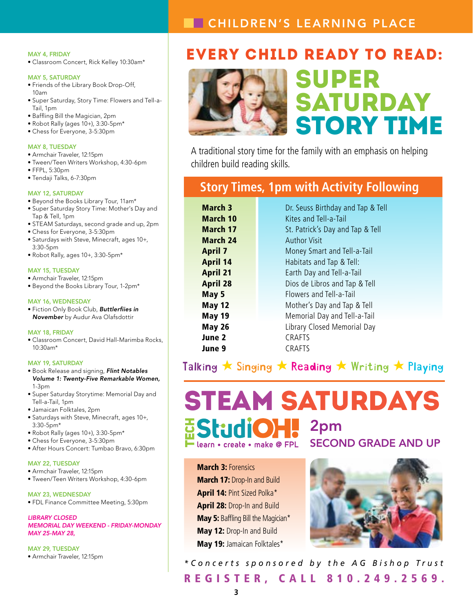# **CHILDREN'S LEARNING PLACE**

### May 4, Friday

• Classroom Concert, Rick Kelley 10:30am\*

### MAY 5, SATURDAY

- Friends of the Library Book Drop-Off, 10am
- Super Saturday, Story Time: Flowers and Tell-a-Tail, 1pm
- Baffling Bill the Magician, 2pm
- Robot Rally (ages 10+), 3:30-5pm\*
- Chess for Everyone, 3-5:30pm

### MAY 8, TUESDAY

- Armchair Traveler, 12:15pm
- Tween/Teen Writers Workshop, 4:30-6pm
- FFPL, 5:30pm
- Tendaji Talks, 6-7:30pm

### MAY 12, SATURDAY

- Beyond the Books Library Tour, 11am\* • Super Saturday Story Time: Mother's Day and
- Tap & Tell, 1pm
- STEAM Saturdays, second grade and up, 2pm
- Chess for Everyone, 3-5:30pm
- Saturdays with Steve, Minecraft, ages 10+, 3:30-5pm
- Robot Rally, ages 10+, 3:30-5pm\*

### MAY 15, TUESDAY

- Armchair Traveler, 12:15pm
- Beyond the Books Library Tour, 1-2pm\*

### MAY 16, WEDNESDAY

• Fiction Only Book Club, *Buttlerfiies in November* by Audur Ava Olafsdottir

### May 18, Friday

• Classroom Concert, David Hall-Marimba Rocks, 10:30am\*

### MAY 19, SATURDAY

- Book Release and signing, *Flint Notables Volume 1: Twenty-Five Remarkable Women,*  1-3pm
- Super Saturday Storytime: Memorial Day and Tell-a-Tail, 1pm
- Jamaican Folktales, 2pm
- Saturdays with Steve, Minecraft, ages 10+, 3:30-5pm\*
- Robot Rally (ages 10+), 3:30-5pm\*
- Chess for Everyone, 3-5:30pm
- After Hours Concert: Tumbao Bravo, 6:30pm

### MAY 22, TUESDAY

- Armchair Traveler, 12:15pm
- Tween/Teen Writers Workshop, 4:30-6pm

May 23, WEdnesday • FDL Finance Committee Meeting, 5:30pm

*Library Closed Memorial Day Weekend - Friday-Monday May 25-May 28,* 

MAY 29, TUESDAY • Armchair Traveler, 12:15pm

# EVERY CHILD READY TO READ:



# Super SATURDAY Story Time

A traditional story time for the family with an emphasis on helping children build reading skills.

# **Story Times, 1pm with Activity Following**

| <b>March 3</b>  | Dr. Seuss Birthday and Tap & Tell |
|-----------------|-----------------------------------|
| March 10        | Kites and Tell-a-Tail             |
| <b>March 17</b> | St. Patrick's Day and Tap & Tell  |
| <b>March 24</b> | <b>Author Visit</b>               |
| <b>April 7</b>  | Money Smart and Tell-a-Tail       |
| <b>April 14</b> | Habitats and Tap & Tell:          |
| <b>April 21</b> | Earth Day and Tell-a-Tail         |
| <b>April 28</b> | Dios de Libros and Tap & Tell     |
| May 5           | Flowers and Tell-a-Tail           |
| <b>May 12</b>   | Mother's Day and Tap & Tell       |
| <b>May 19</b>   | Memorial Day and Tell-a-Tail      |
| <b>May 26</b>   | Library Closed Memorial Day       |
| June 2          | <b>CRAFTS</b>                     |
| June 9          | <b>CRAFTS</b>                     |

Talking  $\star$  Singing  $\star$  Reading  $\star$  Writing  $\star$  Playing

# STEAM SATURDAYS **Estudio H**  $\blacksquare$  2pm second grade and up learn • create • make @ FPL

**March 3: Forensics** March 17: Drop-In and Build April 14: Pint Sized Polka\* April 28: Drop-In and Build May 5: Baffling Bill the Magician\* May 12: Drop-In and Build May 19: Jamaican Folktales\*



REGISTER, CALL 810.249.2569. *\*Concerts sponsored by the AG Bishop Trust*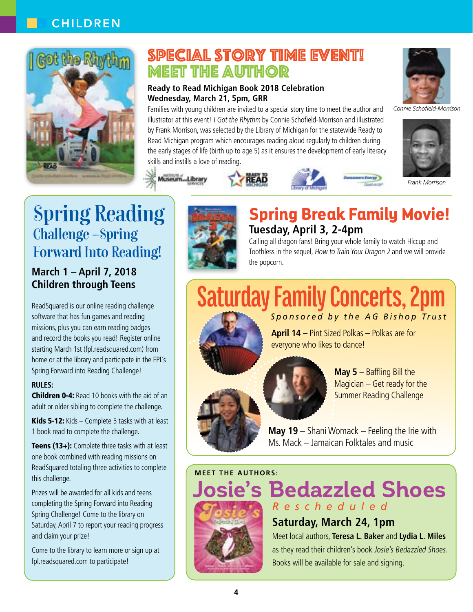# **CHILDREN**



# SPECIAL STORY TIME EVENT! Meet the Author

### **Ready to Read Michigan Book 2018 Celebration Wednesday, March 21, 5pm, GRR**

Families with young children are invited to a special story time to meet the author and illustrator at this event! I Got the Rhythm by Connie Schofield-Morrison and illustrated by Frank Morrison, was selected by the Library of Michigan for the statewide Ready to Read Michigan program which encourages reading aloud regularly to children during the early stages of life (birth up to age 5) as it ensures the development of early literacy skills and instills a love of reading.



*Connie Schofield-Morrison*



*Frank Morrison*

# Spring Reading Challenge –Spring Forward Into Reading!

## **March 1 – April 7, 2018 Children through Teens**

ReadSquared is our online reading challenge software that has fun games and reading missions, plus you can earn reading badges and record the books you read! Register online starting March 1st (fpl.readsquared.com) from home or at the library and participate in the FPL's Spring Forward into Reading Challenge!

### **Rules:**

**Children 0-4:** Read 10 books with the aid of an adult or older sibling to complete the challenge.

Kids 5-12: Kids – Complete 5 tasks with at least 1 book read to complete the challenge.

Teens (13+): Complete three tasks with at least one book combined with reading missions on ReadSquared totaling three activities to complete this challenge.

Prizes will be awarded for all kids and teens completing the Spring Forward into Reading Spring Challenge! Come to the library on Saturday, April 7 to report your reading progress and claim your prize!

Come to the library to learn more or sign up at fpl.readsquared.com to participate!



Museum...Librar

# **Spring Break Family Movie! Tuesday, April 3, 2-4pm**

Calling all dragon fans! Bring your whole family to watch Hiccup and Toothless in the sequel, How to Train Your Dragon 2 and we will provide the popcorn.

**Saturday Family Concerts, 2pm** *Sponsored by the AG Bishop Trust*

> **April 14** – Pint Sized Polkas – Polkas are for everyone who likes to dance!



**May 5** – Baffling Bill the Magician – Get ready for the Summer Reading Challenge

**May 19** – Shani Womack – Feeling the Irie with Ms. Mack – Jamaican Folktales and music

**Meet the authors :**



**Josie's Bedazzled Shoes** *Rescheduled*

# **Saturday, March 24, 1pm**

Meet local authors, **Teresa L. Baker** and **Lydia L. Miles** as they read their children's book Josie's Bedazzled Shoes. Books will be available for sale and signing.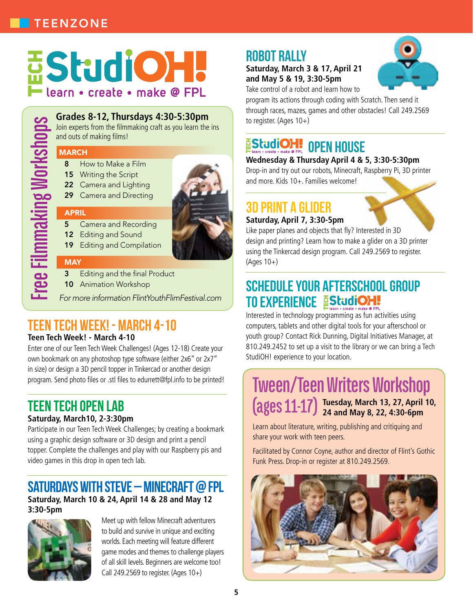# **EStudiOH!** learn • create • make @ FPL

**Grades 8-12, Thursdays 4:30-5:30pm** Join experts from the filmmaking craft as you learn the ins and outs of making films!

# **Free Filmmaking Workshops** March 8 How to Make a Film 15 Writing the Script

- 
- 22 Camera and Lighting
- 29 Camera and Directing

### **APRIL**

- 5 Camera and Recording
- 12 Editing and Sound
- 19 Editing and Compilation

## **MAY**

- Editing and the final Product
- 10 Animation Workshop

*For more information FlintYouthFlimFestival.com*

# Teen Tech Week! - March 4-10

## **Teen Tech Week! - March 4-10**

Enter one of our Teen Tech Week Challenges! (Ages 12-18) Create your own bookmark on any photoshop type software (either 2x6" or 2x7" in size) or design a 3D pencil topper in Tinkercad or another design program. Send photo files or .stl files to edurrett@fpl.info to be printed!

# Teen Tech Open Lab

## **Saturday, March10, 2-3:30pm**

Participate in our Teen Tech Week Challenges; by creating a bookmark using a graphic design software or 3D design and print a pencil topper. Complete the challenges and play with our Raspberry pis and video games in this drop in open tech lab.

# Saturdays with Steve – Minecraft @ FPL

**Saturday, March 10 & 24, April 14 & 28 and May 12 3:30-5pm**



Meet up with fellow Minecraft adventurers to build and survive in unique and exciting worlds. Each meeting will feature different game modes and themes to challenge players of all skill levels. Beginners are welcome too! Call 249.2569 to register. (Ages  $10+$ )

# **ROBOT RALLY**

## **Saturday, March 3 & 17, April 21 and May 5 & 19, 3:30-5pm**



Take control of a robot and learn how to

program its actions through coding with Scratch. Then send it through races, mazes, games and other obstacles! Call 249.2569 to register. (Ages 10+)

# EStudioH! OPEN HOUSE

### **Wednesday & Thursday April 4 & 5, 3:30-5:30pm**

Drop-in and try out our robots, Minecraft, Raspberry Pi, 3D printer and more. Kids 10+. Families welcome!

# 3D Print a Glider

### **Saturday, April 7, 3:30-5pm**

Like paper planes and objects that fly? Interested in 3D design and printing? Learn how to make a glider on a 3D printer using the Tinkercad design program. Call 249.2569 to register. (Ages 10+)

# Schedule your Afterschool Group TO EXPERIENCE EStudioH.

Interested in technology programming as fun activities using computers, tablets and other digital tools for your afterschool or youth group? Contact Rick Dunning, Digital Initiatives Manager, at 810.249.2452 to set up a visit to the library or we can bring a Tech StudiOH! experience to your location.

# **Tween/Teen Writers Workshop (ages 11-17) Tuesday, March 13, 27, April 10, 24 and May 8, 22, 4:30-6pm**

Learn about literature, writing, publishing and critiquing and share your work with teen peers.

Facilitated by Connor Coyne, author and director of Flint's Gothic Funk Press. Drop-in or register at 810.249.2569.

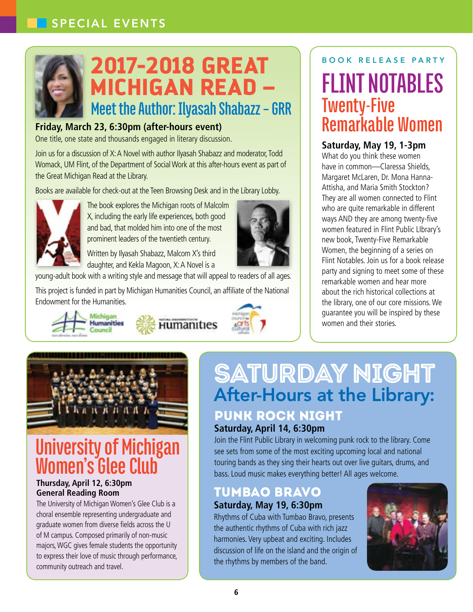

# **Meet the Author: Ilyasah Shabazz – GRR 2017-2018 Great Michigan Read –**

# **Friday, March 23, 6:30pm (after-hours event)**

One title, one state and thousands engaged in literary discussion.

Join us for a discussion of X: A Novel with author Ilyasah Shabazz and moderator, Todd Womack, UM Flint, of the Department of Social Work at this after-hours event as part of the Great Michigan Read at the Library.

Books are available for check-out at the Teen Browsing Desk and in the Library Lobby.



The book explores the Michigan roots of Malcolm X, including the early life experiences, both good and bad, that molded him into one of the most prominent leaders of the twentieth century.

Written by Ilyasah Shabazz, Malcom X's third daughter, and Kekla Magoon, X: A Novel is a

young-adult book with a writing style and message that will appeal to readers of all ages.

This project is funded in part by Michigan Humanities Council, an affiliate of the National Endowment for the Humanities.









# **University of Michigan Women's Glee Club**

### **Thursday, April 12, 6:30pm General Reading Room**

The University of Michigan Women's Glee Club is a choral ensemble representing undergraduate and graduate women from diverse fields across the U of M campus. Composed primarily of non-music majors, WGC gives female students the opportunity to express their love of music through performance, community outreach and travel.

## BOOK RELEASE PARTY

**FLINT NOTABLES Twenty-Five Remarkable Women**

## **Saturday, May 19, 1-3pm**

What do you think these women have in common—Claressa Shields, Margaret McLaren, Dr. Mona Hanna-Attisha, and Maria Smith Stockton? They are all women connected to Flint who are quite remarkable in different ways AND they are among twenty-five women featured in Flint Public LIbrary's new book, Twenty-Five Remarkable Women, the beginning of a series on Flint Notables. Join us for a book release party and signing to meet some of these remarkable women and hear more about the rich historical collections at the library, one of our core missions. We guarantee you will be inspired by these women and their stories.

# Saturday Night After-Hours at the Library: Punk Rock Night

## **Saturday, April 14, 6:30pm**

Join the Flint Public Library in welcoming punk rock to the library. Come see sets from some of the most exciting upcoming local and national touring bands as they sing their hearts out over live guitars, drums, and bass. Loud music makes everything better! All ages welcome.

# Tumbao Bravo

# **Saturday, May 19, 6:30pm**

Rhythms of Cuba with Tumbao Bravo, presents the authentic rhythms of Cuba with rich jazz harmonies. Very upbeat and exciting. Includes discussion of life on the island and the origin of the rhythms by members of the band.

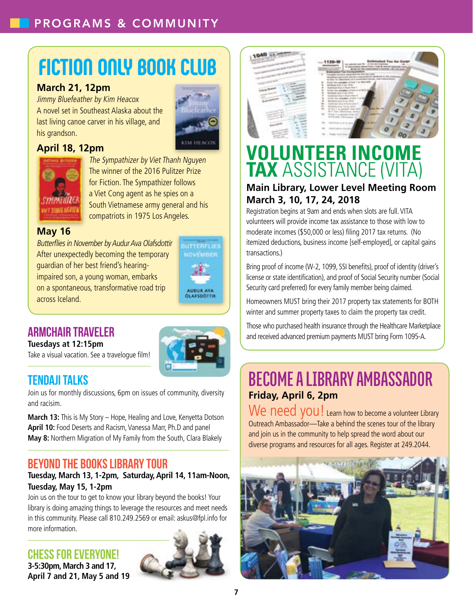# **Fiction Only Book Club**

## **March 21, 12pm**

Jimmy Bluefeather by Kim Heacox A novel set in Southeast Alaska about the last living canoe carver in his village, and his grandson.

# **April 18, 12pm**





The Sympathizer by Viet Thanh Nguyen The winner of the 2016 Pulitzer Prize for Fiction. The Sympathizer follows a Viet Cong agent as he spies on a South Vietnamese army general and his compatriots in 1975 Los Angeles.

## **May 16**

Butterflies in November by Audur Ava Olafsdottir After unexpectedly becoming the temporary guardian of her best friend's hearingimpaired son, a young woman, embarks on a spontaneous, transformative road trip across Iceland.



**BUTTERFLIER NOVEMBER** 

## **ARMCHAIR TRAVELER**

**Tuesdays at 12:15pm**

Take a visual vacation. See a travelogue film!



# Tendaji Talks

Join us for monthly discussions, 6pm on issues of community, diversity and racisim.

**March 13:** This is My Story – Hope, Healing and Love, Kenyetta Dotson **April 10:** Food Deserts and Racism, Vanessa Marr, Ph.D and panel **May 8:** Northern Migration of My Family from the South, Clara Blakely

# Beyond the Books Library Tour

## **Tuesday, March 13, 1-2pm, Saturday, April 14, 11am-Noon, Tuesday, May 15, 1-2pm**

Join us on the tour to get to know your library beyond the books! Your library is doing amazing things to leverage the resources and meet needs in this community. Please call 810.249.2569 or email: askus@fpl.info for more information.

# Chess for Everyone!

**3-5:30pm, March 3 and 17, April 7 and 21, May 5 and 19**





# **Volunteer Income Tax** Assistance (VITA)

# **Main Library, Lower Level Meeting Room March 3, 10, 17, 24, 2018**

Registration begins at 9am and ends when slots are full. VITA volunteers will provide income tax assistance to those with low to moderate incomes (\$50,000 or less) filing 2017 tax returns. (No itemized deductions, business income [self-employed], or capital gains transactions.)

Bring proof of income (W-2, 1099, SSI benefits), proof of identity (driver's license or state identification), and proof of Social Security number (Social Security card preferred) for every family member being claimed.

Homeowners MUST bring their 2017 property tax statements for BOTH winter and summer property taxes to claim the property tax credit.

Those who purchased health insurance through the Healthcare Marketplace and received advanced premium payments MUST bring Form 1095-A.

# **Become a Library AmbassaDor Friday, April 6, 2pm**

We need you! Learn how to become a volunteer Library Outreach Ambassador—Take a behind the scenes tour of the library and join us in the community to help spread the word about our diverse programs and resources for all ages. Register at 249.2044.